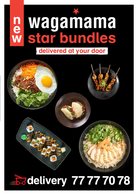



# **Badelivery 77777078**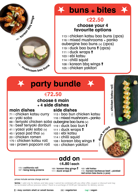

# **buns + bites**

## €**22.50**

### **choose your 4 favourite options**

113 | chicken katsu bao buns (2pcs) 116 | mixed mushrooms + panko aubergine bao buns (v) (2pcs)  $119$  I duck bao buns  $(2pcs)$ 111 | duck wraps **?** 103 | ebi katsu 114 | chilli squid 108 | korean bbq wings ? **s**<br> **k**<br> **dec**<br> **dec**<br> **dec**<br> **dec**<br> **dec**<br> **dec**<br> **dec**<br> **dec**<br> **dec**<br> **dec**<br> **dec**<br> **dec**<br> **dec**<br> **dec**<br> **dec**<br> **dec**<br> **dec**<br> **dec**<br> **dec**<br> **dec**<br> **dec**<br> **dec**<br> **dec**<br> **dec**<br> **dec**<br> **dec**<br> **dec**<br> **dec**<br> **dec**<br> **dec**<br> **d** 

105 | chicken yakitori

**party bundle**170 | **chicken katsu roll** 70 | Chicken katsu roll €**72.50 choose 6 main + 4 side dishes main dishes side dishes** 71 | chicken katsu curry 113 | bao bun chicken katsu 40 | yaki soba 116 | mixed mushroom + panko 88 | teriyaki chicken soba aubergine bao buns (v) 111 | **duck wraps** 76 | beef teriyaki donburi 119 | duck bao bun 41 | yasai yaki soba (v) 111 | duck wraps **?** 45 | yasai pad thai (v) 103 | ebi katsu 20 | chicken ramen 114 | chilli squid 170 | chicken katsu roll 108 | korean bbq wings ? 189 | prawn popcorn roll 105 | chicken yakitori

### **add on** €**4.80** I **each**

173 | **california roll**

107 | **bang bang prawns** 108 | **korean bbq wings**  111 | **duck wraps** 

103 | **ebi katsu** 115 | **korean barbecue beef + pickled red onion bao buns (2 pcs)**

#### prices include service charge and vat

**terms**: • valid only for delivery and take away • cannot be combined with any other offer, coupon or discount and may be terminated without previous notice • there is a surcharge of €2.30 per transaction for delivery service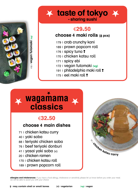

### **x** taste of tokyo **x - sharing sushi**

## €**29.50**

### **choose 4 maki rolls (8 pcs)**

- 179 | crab crunchy kani
- 189 | prawn popcorn roll
- 176 | spicy tuna?
- 170 | chicken katsu roll
- 171 | spicy ebi
- 172 | vegan futomaki **(vg)**
- 191 | philadelphia maki roll ?
- $175$  | eel maki roll  $\overline{?}$

# <br>
<br> **Example 179 | contacts cristal porter or struct or small bones<br>
<br>
<b>Example 171 | spicy tuna 1**<br>
179 | chicken katsu re<br>
171 | spicy tuna 1<br>
171 | spicy tuna 1<br>
171 | spicy tuna 1<br>
171 | spicy tuna 1<br>
171 | spicy tu **classics**

# €**32.50**

### **choose 4 main dishes**

- 71 | chicken katsu curry
- 40 | yaki soba
- 88 | teriyaki chicken soba
- 76 | beef teriyaki donburi
- 41 | yasai yaki soba (v)
- 20 | chicken ramen
- 170 | chicken katsu roll
- 189 | prawn popcorn roll



**allergies and intolerances**: if you have a food allergy, intolerance or sensitivity please let us know before you order your meal. we will be able to assist you with your choice